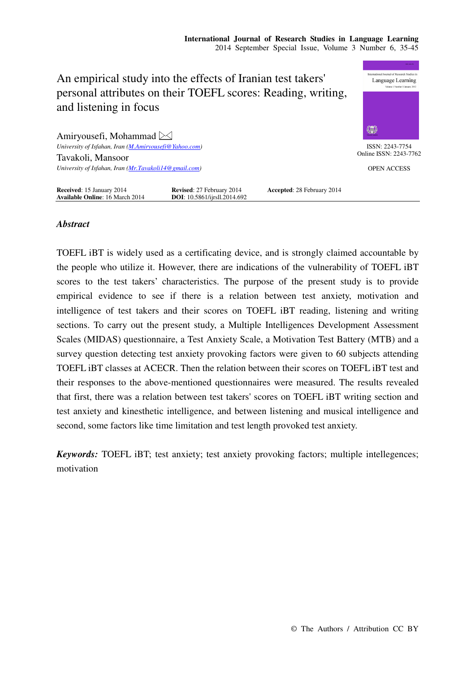

# *Abstract*

TOEFL iBT is widely used as a certificating device, and is strongly claimed accountable by the people who utilize it. However, there are indications of the vulnerability of TOEFL iBT scores to the test takers' characteristics. The purpose of the present study is to provide empirical evidence to see if there is a relation between test anxiety, motivation and intelligence of test takers and their scores on TOEFL iBT reading, listening and writing sections. To carry out the present study, a Multiple Intelligences Development Assessment Scales (MIDAS) questionnaire, a Test Anxiety Scale, a Motivation Test Battery (MTB) and a survey question detecting test anxiety provoking factors were given to 60 subjects attending TOEFL iBT classes at ACECR. Then the relation between their scores on TOEFL iBT test and their responses to the above-mentioned questionnaires were measured. The results revealed that first, there was a relation between test takers' scores on TOEFL iBT writing section and test anxiety and kinesthetic intelligence, and between listening and musical intelligence and second, some factors like time limitation and test length provoked test anxiety.

*Keywords:* TOEFL iBT; test anxiety; test anxiety provoking factors; multiple intellegences; motivation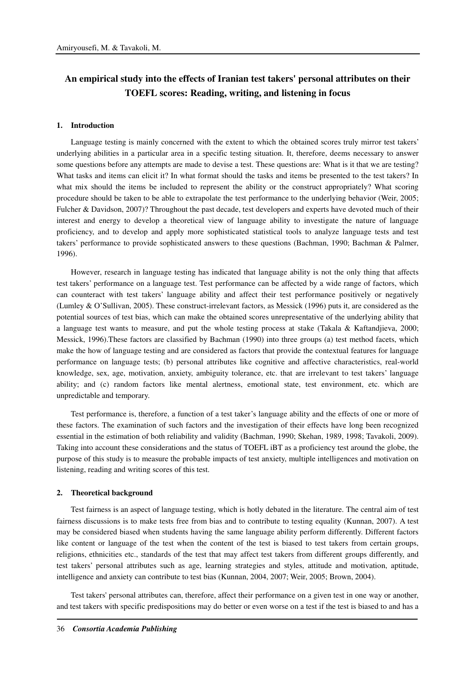# **An empirical study into the effects of Iranian test takers' personal attributes on their TOEFL scores: Reading, writing, and listening in focus**

#### **1. Introduction**

Language testing is mainly concerned with the extent to which the obtained scores truly mirror test takers' underlying abilities in a particular area in a specific testing situation. It, therefore, deems necessary to answer some questions before any attempts are made to devise a test. These questions are: What is it that we are testing? What tasks and items can elicit it? In what format should the tasks and items be presented to the test takers? In what mix should the items be included to represent the ability or the construct appropriately? What scoring procedure should be taken to be able to extrapolate the test performance to the underlying behavior (Weir, 2005; Fulcher & Davidson, 2007)? Throughout the past decade, test developers and experts have devoted much of their interest and energy to develop a theoretical view of language ability to investigate the nature of language proficiency, and to develop and apply more sophisticated statistical tools to analyze language tests and test takers' performance to provide sophisticated answers to these questions (Bachman, 1990; Bachman & Palmer, 1996).

However, research in language testing has indicated that language ability is not the only thing that affects test takers' performance on a language test. Test performance can be affected by a wide range of factors, which can counteract with test takers' language ability and affect their test performance positively or negatively (Lumley & O'Sullivan, 2005). These construct-irrelevant factors, as Messick (1996) puts it, are considered as the potential sources of test bias, which can make the obtained scores unrepresentative of the underlying ability that a language test wants to measure, and put the whole testing process at stake (Takala & Kaftandjieva, 2000; Messick, 1996).These factors are classified by Bachman (1990) into three groups (a) test method facets, which make the how of language testing and are considered as factors that provide the contextual features for language performance on language tests; (b) personal attributes like cognitive and affective characteristics, real-world knowledge, sex, age, motivation, anxiety, ambiguity tolerance, etc. that are irrelevant to test takers' language ability; and (c) random factors like mental alertness, emotional state, test environment, etc. which are unpredictable and temporary.

Test performance is, therefore, a function of a test taker's language ability and the effects of one or more of these factors. The examination of such factors and the investigation of their effects have long been recognized essential in the estimation of both reliability and validity (Bachman, 1990; Skehan, 1989, 1998; Tavakoli, 2009). Taking into account these considerations and the status of TOEFL iBT as a proficiency test around the globe, the purpose of this study is to measure the probable impacts of test anxiety, multiple intelligences and motivation on listening, reading and writing scores of this test.

## **2. Theoretical background**

Test fairness is an aspect of language testing, which is hotly debated in the literature. The central aim of test fairness discussions is to make tests free from bias and to contribute to testing equality (Kunnan, 2007). A test may be considered biased when students having the same language ability perform differently. Different factors like content or language of the test when the content of the test is biased to test takers from certain groups, religions, ethnicities etc., standards of the test that may affect test takers from different groups differently, and test takers' personal attributes such as age, learning strategies and styles, attitude and motivation, aptitude, intelligence and anxiety can contribute to test bias (Kunnan, 2004, 2007; Weir, 2005; Brown, 2004).

Test takers' personal attributes can, therefore, affect their performance on a given test in one way or another, and test takers with specific predispositions may do better or even worse on a test if the test is biased to and has a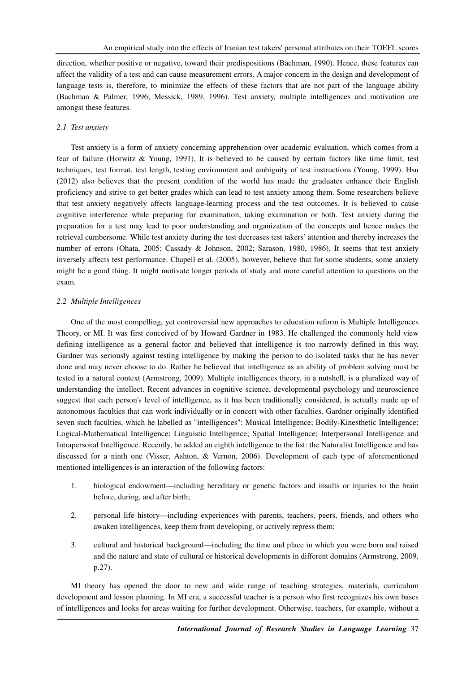direction, whether positive or negative, toward their predispositions (Bachman, 1990). Hence, these features can affect the validity of a test and can cause measurement errors. A major concern in the design and development of language tests is, therefore, to minimize the effects of these factors that are not part of the language ability (Bachman & Palmer, 1996; Messick, 1989, 1996). Test anxiety, multiple intelligences and motivation are amongst these features.

# *2.1 Test anxiety*

Test anxiety is a form of anxiety concerning apprehension over academic evaluation, which comes from a fear of failure (Horwitz & Young, 1991). It is believed to be caused by certain factors like time limit, test techniques, test format, test length, testing environment and ambiguity of test instructions (Young, 1999). Hsu (2012) also believes that the present condition of the world has made the graduates enhance their English proficiency and strive to get better grades which can lead to test anxiety among them. Some researchers believe that test anxiety negatively affects language-learning process and the test outcomes. It is believed to cause cognitive interference while preparing for examination, taking examination or both. Test anxiety during the preparation for a test may lead to poor understanding and organization of the concepts and hence makes the retrieval cumbersome. While test anxiety during the test decreases test takers' attention and thereby increases the number of errors (Ohata, 2005; Cassady & Johnson, 2002; Sarason, 1980, 1986). It seems that test anxiety inversely affects test performance. Chapell et al. (2005), however, believe that for some students, some anxiety might be a good thing. It might motivate longer periods of study and more careful attention to questions on the exam.

# *2.2 Multiple Intelligences*

One of the most compelling, yet controversial new approaches to education reform is Multiple Intelligences Theory, or MI. It was first conceived of by Howard Gardner in 1983. He challenged the commonly held view defining intelligence as a general factor and believed that intelligence is too narrowly defined in this way. Gardner was seriously against testing intelligence by making the person to do isolated tasks that he has never done and may never choose to do. Rather he believed that intelligence as an ability of problem solving must be tested in a natural context (Armstrong, 2009). Multiple intelligences theory, in a nutshell, is a pluralized way of understanding the intellect. Recent advances in cognitive science, developmental psychology and neuroscience suggest that each person's level of intelligence, as it has been traditionally considered, is actually made up of autonomous faculties that can work individually or in concert with other faculties. Gardner originally identified seven such faculties, which he labelled as "intelligences": Musical Intelligence; Bodily-Kinesthetic Intelligence; Logical-Mathematical Intelligence; Linguistic Intelligence; Spatial Intelligence; Interpersonal Intelligence and Intrapersonal Intelligence. Recently, he added an eighth intelligence to the list: the Naturalist Intelligence and has discussed for a ninth one (Visser, Ashton, & Vernon, 2006). Development of each type of aforementioned mentioned intelligences is an interaction of the following factors:

- 1. biological endowment—including hereditary or genetic factors and insults or injuries to the brain before, during, and after birth;
- 2. personal life history—including experiences with parents, teachers, peers, friends, and others who awaken intelligences, keep them from developing, or actively repress them;
- 3. cultural and historical background—including the time and place in which you were born and raised and the nature and state of cultural or historical developments in different domains (Armstrong, 2009, p.27).

MI theory has opened the door to new and wide range of teaching strategies, materials, curriculum development and lesson planning. In MI era, a successful teacher is a person who first recognizes his own bases of intelligences and looks for areas waiting for further development. Otherwise, teachers, for example, without a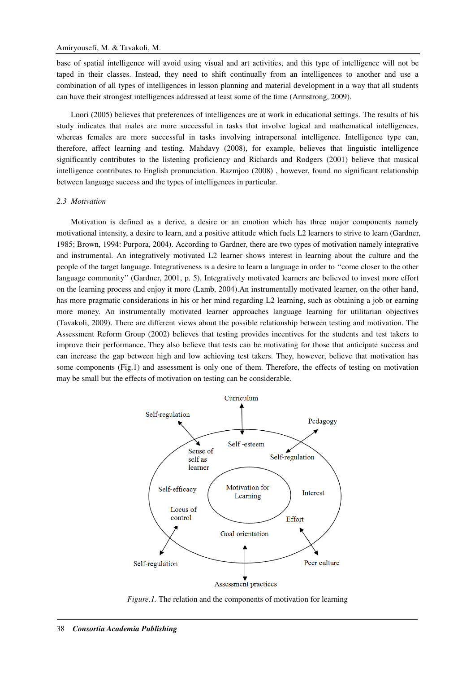base of spatial intelligence will avoid using visual and art activities, and this type of intelligence will not be taped in their classes. Instead, they need to shift continually from an intelligences to another and use a combination of all types of intelligences in lesson planning and material development in a way that all students can have their strongest intelligences addressed at least some of the time (Armstrong, 2009).

Loori (2005) believes that preferences of intelligences are at work in educational settings. The results of his study indicates that males are more successful in tasks that involve logical and mathematical intelligences, whereas females are more successful in tasks involving intrapersonal intelligence. Intelligence type can, therefore, affect learning and testing. Mahdavy (2008), for example, believes that linguistic intelligence significantly contributes to the listening proficiency and Richards and Rodgers (2001) believe that musical intelligence contributes to English pronunciation. Razmjoo (2008) , however, found no significant relationship between language success and the types of intelligences in particular.

#### *2.3 Motivation*

Motivation is defined as a derive, a desire or an emotion which has three major components namely motivational intensity, a desire to learn, and a positive attitude which fuels L2 learners to strive to learn (Gardner, 1985; Brown, 1994: Purpora, 2004). According to Gardner, there are two types of motivation namely integrative and instrumental. An integratively motivated L2 learner shows interest in learning about the culture and the people of the target language. Integrativeness is a desire to learn a language in order to ''come closer to the other language community'' (Gardner, 2001, p. 5). Integratively motivated learners are believed to invest more effort on the learning process and enjoy it more (Lamb, 2004).An instrumentally motivated learner, on the other hand, has more pragmatic considerations in his or her mind regarding L2 learning, such as obtaining a job or earning more money. An instrumentally motivated learner approaches language learning for utilitarian objectives (Tavakoli, 2009). There are different views about the possible relationship between testing and motivation. The Assessment Reform Group (2002) believes that testing provides incentives for the students and test takers to improve their performance. They also believe that tests can be motivating for those that anticipate success and can increase the gap between high and low achieving test takers. They, however, believe that motivation has some components (Fig.1) and assessment is only one of them. Therefore, the effects of testing on motivation may be small but the effects of motivation on testing can be considerable.



*Figure.1.* The relation and the components of motivation for learning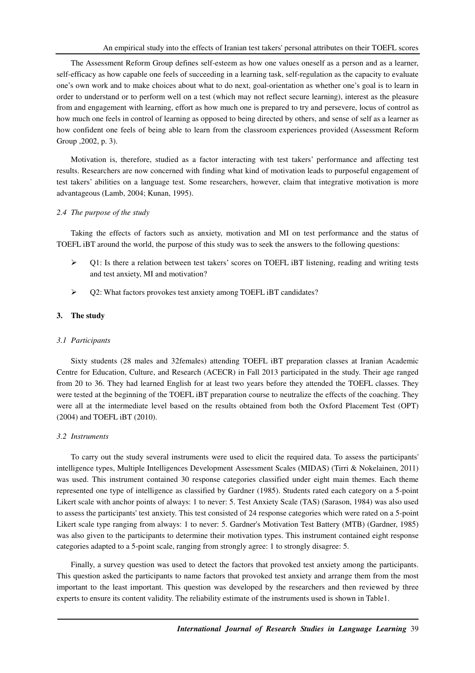The Assessment Reform Group defines self-esteem as how one values oneself as a person and as a learner, self-efficacy as how capable one feels of succeeding in a learning task, self-regulation as the capacity to evaluate one's own work and to make choices about what to do next, goal-orientation as whether one's goal is to learn in order to understand or to perform well on a test (which may not reflect secure learning), interest as the pleasure from and engagement with learning, effort as how much one is prepared to try and persevere, locus of control as how much one feels in control of learning as opposed to being directed by others, and sense of self as a learner as how confident one feels of being able to learn from the classroom experiences provided (Assessment Reform Group ,2002, p. 3).

Motivation is, therefore, studied as a factor interacting with test takers' performance and affecting test results. Researchers are now concerned with finding what kind of motivation leads to purposeful engagement of test takers' abilities on a language test. Some researchers, however, claim that integrative motivation is more advantageous (Lamb, 2004; Kunan, 1995).

#### *2.4 The purpose of the study*

Taking the effects of factors such as anxiety, motivation and MI on test performance and the status of TOEFL iBT around the world, the purpose of this study was to seek the answers to the following questions:

- $\triangleright$  Q1: Is there a relation between test takers' scores on TOEFL iBT listening, reading and writing tests and test anxiety, MI and motivation?
- Q2: What factors provokes test anxiety among TOEFL iBT candidates?

# **3. The study**

#### *3.1 Participants*

Sixty students (28 males and 32females) attending TOEFL iBT preparation classes at Iranian Academic Centre for Education, Culture, and Research (ACECR) in Fall 2013 participated in the study. Their age ranged from 20 to 36. They had learned English for at least two years before they attended the TOEFL classes. They were tested at the beginning of the TOEFL iBT preparation course to neutralize the effects of the coaching. They were all at the intermediate level based on the results obtained from both the Oxford Placement Test (OPT) (2004) and TOEFL iBT (2010).

#### *3.2 Instruments*

To carry out the study several instruments were used to elicit the required data. To assess the participants' intelligence types, Multiple Intelligences Development Assessment Scales (MIDAS) (Tirri & Nokelainen, 2011) was used. This instrument contained 30 response categories classified under eight main themes. Each theme represented one type of intelligence as classified by Gardner (1985). Students rated each category on a 5-point Likert scale with anchor points of always: 1 to never: 5. Test Anxiety Scale (TAS) (Sarason, 1984) was also used to assess the participants' test anxiety. This test consisted of 24 response categories which were rated on a 5-point Likert scale type ranging from always: 1 to never: 5. Gardner's Motivation Test Battery (MTB) (Gardner, 1985) was also given to the participants to determine their motivation types. This instrument contained eight response categories adapted to a 5-point scale, ranging from strongly agree: 1 to strongly disagree: 5.

Finally, a survey question was used to detect the factors that provoked test anxiety among the participants. This question asked the participants to name factors that provoked test anxiety and arrange them from the most important to the least important. This question was developed by the researchers and then reviewed by three experts to ensure its content validity. The reliability estimate of the instruments used is shown in Table1.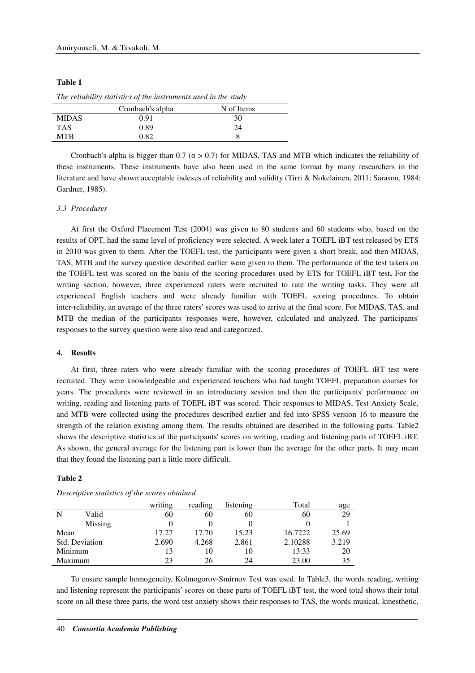| н<br>п<br>н<br>п |  |
|------------------|--|
|------------------|--|

|              | Cronbach's alpha | N of Items |  |
|--------------|------------------|------------|--|
| <b>MIDAS</b> | 0.91             | 30         |  |
| <b>TAS</b>   | 0.89             | 24         |  |
| MTR          | 0.82             |            |  |
|              |                  |            |  |

*The reliability statistics of the instruments used in the study* 

Cronbach's alpha is bigger than 0.7 ( $\alpha$  > 0.7) for MIDAS, TAS and MTB which indicates the reliability of these instruments. These instruments have also been used in the same format by many researchers in the literature and have shown acceptable indexes of reliability and validity (Tirri & Nokelainen, 2011; Sarason, 1984; Gardner, 1985).

# *3.3 Procedures*

At first the Oxford Placement Test (2004) was given to 80 students and 60 students who, based on the results of OPT, had the same level of proficiency were selected. A week later a TOEFL iBT test released by ETS in 2010 was given to them. After the TOEFL test, the participants were given a short break, and then MIDAS, TAS, MTB and the survey question described earlier were given to them. The performance of the test takers on the TOEFL test was scored on the basis of the scoring procedures used by ETS for TOEFL iBT test**.** For the writing section, however, three experienced raters were recruited to rate the writing tasks. They were all experienced English teachers and were already familiar with TOEFL scoring procedures. To obtain inter-reliability, an average of the three raters' scores was used to arrive at the final score. For MIDAS, TAS, and MTB the median of the participants 'responses were, however, calculated and analyzed. The participants' responses to the survey question were also read and categorized.

#### **4. Results**

At first, three raters who were already familiar with the scoring procedures of TOEFL iBT test were recruited. They were knowledgeable and experienced teachers who had taught TOEFL preparation courses for years. The procedures were reviewed in an introductory session and then the participants' performance on writing, reading and listening parts of TOEFL iBT was scored. Their responses to MIDAS, Test Anxiety Scale, and MTB were collected using the procedures described earlier and fed into SPSS version 16 to measure the strength of the relation existing among them. The results obtained are described in the following parts. Table2 shows the descriptive statistics of the participants' scores on writing, reading and listening parts of TOEFL iBT. As shown, the general average for the listening part is lower than the average for the other parts. It may mean that they found the listening part a little more difficult.

#### **Table 2**

|         |                | writing | reading | listening | Total   | age   |
|---------|----------------|---------|---------|-----------|---------|-------|
| N       | Valid          | 60      | 60      | 60        | 60      | 29    |
|         | Missing        |         |         |           |         |       |
| Mean    |                | 17.27   | 17.70   | 15.23     | 16.7222 | 25.69 |
|         | Std. Deviation | 2.690   | 4.268   | 2.861     | 2.10288 | 3.219 |
| Minimum |                | 13      | 10      | 10        | 13.33   | 20    |
| Maximum |                | 23      | 26      | 24        | 23.00   | 35    |

*Descriptive statistics of the scores obtained* 

To ensure sample homogeneity, Kolmogorov-Smirnov Test was used. In Table3, the words reading, writing and listening represent the participants' scores on these parts of TOEFL iBT test, the word total shows their total score on all these three parts, the word test anxiety shows their responses to TAS, the words musical, kinesthetic,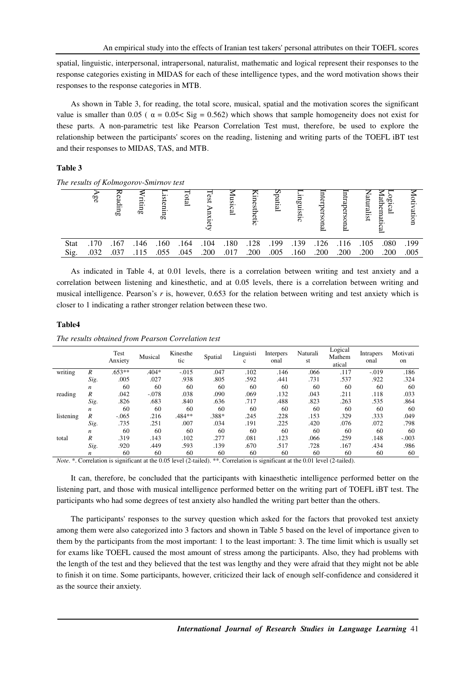spatial, linguistic, interpersonal, intrapersonal, naturalist, mathematic and logical represent their responses to the response categories existing in MIDAS for each of these intelligence types, and the word motivation shows their responses to the response categories in MTB.

As shown in Table 3, for reading, the total score, musical, spatial and the motivation scores the significant value is smaller than 0.05 ( $\alpha = 0.05 <$  Sig = 0.562) which shows that sample homogeneity does not exist for these parts. A non-parametric test like Pearson Correlation Test must, therefore, be used to explore the relationship between the participants' scores on the reading, listening and writing parts of the TOEFL iBT test and their responses to MIDAS, TAS, and MTB.

# **Table 3**

*The results of Kolmogorov-Smirnov test* 

|             | 9g   | πр   | ting | Œ٥   | ह्य  | S.<br>$\overline{\phantom{0}}$ | ವ<br>உ |      | atial | σā<br>ನ |      |      | islist |      |      |
|-------------|------|------|------|------|------|--------------------------------|--------|------|-------|---------|------|------|--------|------|------|
| <b>Stat</b> | 170  | .167 | .146 | .160 | .164 | .104                           | .180   | .128 | .199  | .139    | .126 | .116 | .105   | .080 | .199 |
| Sig.        | .032 | .037 | .115 | .055 | .045 | .200                           | .017   | .200 | .005  | .160    | .200 | .200 | .200   | .200 | .005 |

As indicated in Table 4, at 0.01 levels, there is a correlation between writing and test anxiety and a correlation between listening and kinesthetic, and at 0.05 levels, there is a correlation between writing and musical intelligence. Pearson's *r* is, however, 0.653 for the relation between writing and test anxiety which is closer to 1 indicating a rather stronger relation between these two.

#### **Table4**

|           |                  | Test<br>Anxiety | Musical | Kinesthe<br>tic | Spatial | Linguisti<br>$\mathbf c$ | Interpers<br>onal | Naturali<br>st | Logical<br>Mathem<br>atical | <b>Intrapers</b><br>onal | Motivati<br>on |
|-----------|------------------|-----------------|---------|-----------------|---------|--------------------------|-------------------|----------------|-----------------------------|--------------------------|----------------|
| writing   | R                | $.653**$        | $.404*$ | $-.015$         | .047    | .102                     | .146              | .066           | .117                        | $-.019$                  | .186           |
|           | Sig.             | .005            | .027    | .938            | .805    | .592                     | .441              | .731           | .537                        | .922                     | .324           |
|           | $\boldsymbol{n}$ | 60              | 60      | 60              | 60      | 60                       | 60                | 60             | 60                          | 60                       | 60             |
| reading   | R                | .042            | $-.078$ | .038            | .090    | .069                     | .132              | .043           | .211                        | .118                     | .033           |
|           | Sig.             | .826            | .683    | .840            | .636    | .717                     | .488              | .823           | .263                        | .535                     | .864           |
|           | $\boldsymbol{n}$ | 60              | 60      | 60              | 60      | 60                       | 60                | 60             | 60                          | 60                       | 60             |
| listening | R                | $-.065$         | .216    | .484**          | .388*   | .245                     | .228              | .153           | .329                        | .333                     | .049           |
|           | Sig.             | .735            | .251    | .007            | .034    | .191                     | .225              | .420           | .076                        | .072                     | .798           |
|           | $\boldsymbol{n}$ | 60              | 60      | 60              | 60      | 60                       | 60                | 60             | 60                          | 60                       | 60             |
| total     | R                | .319            | .143    | .102            | .277    | .081                     | .123              | .066           | .259                        | .148                     | $-.003$        |
|           | Sig.             | .920            | .449    | .593            | .139    | .670                     | .517              | .728           | .167                        | .434                     | .986           |
|           | $\boldsymbol{n}$ | 60              | 60      | 60              | 60      | 60                       | 60                | 60             | 60                          | 60                       | 60             |

*The results obtained from Pearson Correlation test* 

*Note.* \*. Correlation is significant at the 0.05 level (2-tailed). \*\*. Correlation is significant at the 0.01 level (2-tailed).

It can, therefore, be concluded that the participants with kinaesthetic intelligence performed better on the listening part, and those with musical intelligence performed better on the writing part of TOEFL iBT test. The participants who had some degrees of test anxiety also handled the writing part better than the others.

The participants' responses to the survey question which asked for the factors that provoked test anxiety among them were also categorized into 3 factors and shown in Table 5 based on the level of importance given to them by the participants from the most important: 1 to the least important: 3. The time limit which is usually set for exams like TOEFL caused the most amount of stress among the participants. Also, they had problems with the length of the test and they believed that the test was lengthy and they were afraid that they might not be able to finish it on time. Some participants, however, criticized their lack of enough self-confidence and considered it as the source their anxiety.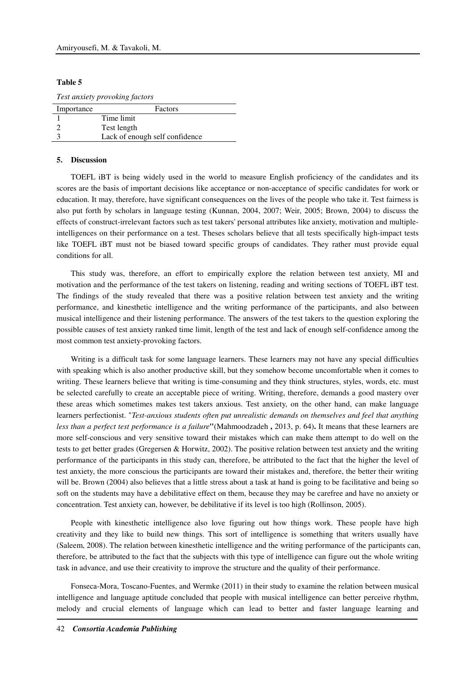#### **Table 5**

*Test anxiety provoking factors* 

| Importance | Factors                        |
|------------|--------------------------------|
|            | Time limit                     |
|            | Test length                    |
|            | Lack of enough self confidence |
|            |                                |

## **5. Discussion**

TOEFL iBT is being widely used in the world to measure English proficiency of the candidates and its scores are the basis of important decisions like acceptance or non-acceptance of specific candidates for work or education. It may, therefore, have significant consequences on the lives of the people who take it. Test fairness is also put forth by scholars in language testing (Kunnan, 2004, 2007; Weir, 2005; Brown, 2004) to discuss the effects of construct-irrelevant factors such as test takers' personal attributes like anxiety, motivation and multipleintelligences on their performance on a test. Theses scholars believe that all tests specifically high-impact tests like TOEFL iBT must not be biased toward specific groups of candidates. They rather must provide equal conditions for all.

This study was, therefore, an effort to empirically explore the relation between test anxiety, MI and motivation and the performance of the test takers on listening, reading and writing sections of TOEFL iBT test. The findings of the study revealed that there was a positive relation between test anxiety and the writing performance, and kinesthetic intelligence and the writing performance of the participants, and also between musical intelligence and their listening performance. The answers of the test takers to the question exploring the possible causes of test anxiety ranked time limit, length of the test and lack of enough self-confidence among the most common test anxiety-provoking factors.

Writing is a difficult task for some language learners. These learners may not have any special difficulties with speaking which is also another productive skill, but they somehow become uncomfortable when it comes to writing. These learners believe that writing is time-consuming and they think structures, styles, words, etc. must be selected carefully to create an acceptable piece of writing. Writing, therefore, demands a good mastery over these areas which sometimes makes test takers anxious. Test anxiety, on the other hand, can make language learners perfectionist. "*Test-anxious students often put unrealistic demands on themselves and feel that anything less than a perfect test performance is a failure***"**(Mahmoodzadeh **,** 2013, p. 64)**.** It means that these learners are more self-conscious and very sensitive toward their mistakes which can make them attempt to do well on the tests to get better grades (Gregersen & Horwitz, 2002). The positive relation between test anxiety and the writing performance of the participants in this study can, therefore, be attributed to the fact that the higher the level of test anxiety, the more conscious the participants are toward their mistakes and, therefore, the better their writing will be. Brown (2004) also believes that a little stress about a task at hand is going to be facilitative and being so soft on the students may have a debilitative effect on them, because they may be carefree and have no anxiety or concentration. Test anxiety can, however, be debilitative if its level is too high (Rollinson, 2005).

People with kinesthetic intelligence also love figuring out how things work. These people have high creativity and they like to build new things. This sort of intelligence is something that writers usually have (Saleem, 2008). The relation between kinesthetic intelligence and the writing performance of the participants can, therefore, be attributed to the fact that the subjects with this type of intelligence can figure out the whole writing task in advance, and use their creativity to improve the structure and the quality of their performance.

Fonseca-Mora, Toscano-Fuentes, and Wermke (2011) in their study to examine the relation between musical intelligence and language aptitude concluded that people with musical intelligence can better perceive rhythm, melody and crucial elements of language which can lead to better and faster language learning and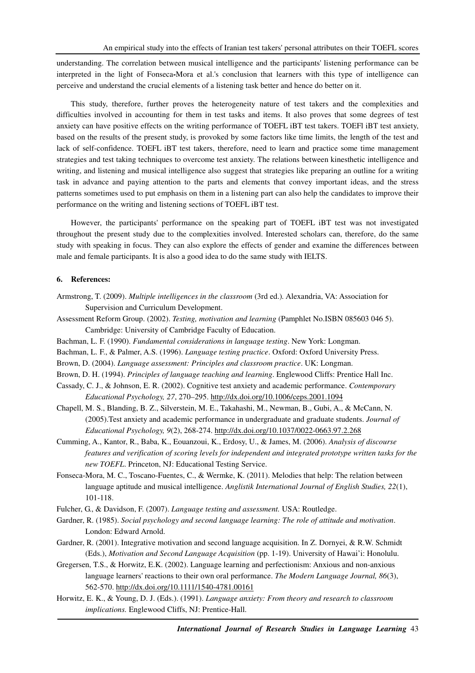understanding. The correlation between musical intelligence and the participants' listening performance can be interpreted in the light of Fonseca**-**Mora et al.'s conclusion that learners with this type of intelligence can perceive and understand the crucial elements of a listening task better and hence do better on it.

This study, therefore, further proves the heterogeneity nature of test takers and the complexities and difficulties involved in accounting for them in test tasks and items. It also proves that some degrees of test anxiety can have positive effects on the writing performance of TOEFL iBT test takers. TOEFl iBT test anxiety, based on the results of the present study, is provoked by some factors like time limits, the length of the test and lack of self-confidence. TOEFL iBT test takers, therefore, need to learn and practice some time management strategies and test taking techniques to overcome test anxiety. The relations between kinesthetic intelligence and writing, and listening and musical intelligence also suggest that strategies like preparing an outline for a writing task in advance and paying attention to the parts and elements that convey important ideas, and the stress patterns sometimes used to put emphasis on them in a listening part can also help the candidates to improve their performance on the writing and listening sections of TOEFL iBT test.

However, the participants' performance on the speaking part of TOEFL iBT test was not investigated throughout the present study due to the complexities involved. Interested scholars can, therefore, do the same study with speaking in focus. They can also explore the effects of gender and examine the differences between male and female participants. It is also a good idea to do the same study with IELTS.

# **6. References:**

- Armstrong, T. (2009). *Multiple intelligences in the classroom* (3rd ed.)*.* Alexandria, VA: Association for Supervision and Curriculum Development.
- Assessment Reform Group. (2002). *Testing, motivation and learning* (Pamphlet No.ISBN 085603 046 5). Cambridge: University of Cambridge Faculty of Education.
- Bachman, L. F. (1990). *Fundamental considerations in language testing*. New York: Longman.
- Bachman, L. F., & Palmer, A.S. (1996). *Language testing practice*. Oxford: Oxford University Press.
- Brown, D. (2004). *Language assessment: Principles and classroom practice*. UK: Longman.

Brown, D. H. (1994). *Principles of language teaching and learning*. Englewood Cliffs: Prentice Hall Inc.

- Cassady, C. J., & Johnson, E. R. (2002). Cognitive test anxiety and academic performance. *Contemporary Educational Psychology, 27*, 270–295. http://dx.doi.org/10.1006/ceps.2001.1094
- Chapell, M. S., Blanding, B. Z., Silverstein, M. E., Takahashi, M., Newman, B., Gubi, A., & McCann, N. (2005).Test anxiety and academic performance in undergraduate and graduate students. *Journal of Educational Psychology, 9*(2), 268-274. http://dx.doi.org/10.1037/0022-0663.97.2.268
- Cumming, A., Kantor, R., Baba, K., Eouanzoui, K., Erdosy, U., & James, M. (2006). *Analysis of discourse features and verification of scoring levels for independent and integrated prototype written tasks for the new TOEFL*. Princeton, NJ: Educational Testing Service.
- Fonseca-Mora, M. C., Toscano-Fuentes, C., & Wermke, K. (2011). Melodies that help: The relation between language aptitude and musical intelligence. *Anglistik International Journal of English Studies, 22*(1), 101-118.

Fulcher, G., & Davidson, F. (2007). *Language testing and assessment.* USA: Routledge.

- Gardner, R. (1985). *Social psychology and second language learning: The role of attitude and motivation*. London: Edward Arnold.
- Gardner, R. (2001). Integrative motivation and second language acquisition. In Z. Dornyei, & R.W. Schmidt (Eds.), *Motivation and Second Language Acquisition* (pp. 1-19). University of Hawai'i: Honolulu.
- Gregersen, T.S., & Horwitz, E.K. (2002). Language learning and perfectionism: Anxious and non-anxious language learners' reactions to their own oral performance. *The Modern Language Journal, 86*(3), 562-570. http://dx.doi.org/10.1111/1540-4781.00161
- Horwitz, E. K., & Young, D. J. (Eds.). (1991). *Language anxiety: From theory and research to classroom implications.* Englewood Cliffs, NJ: Prentice-Hall.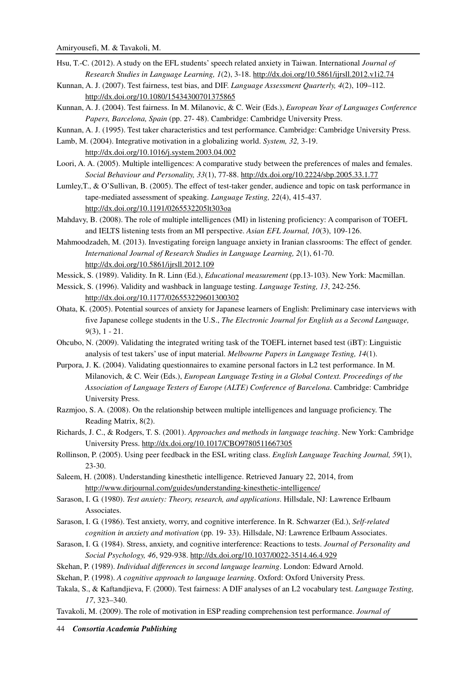- Hsu, T.-C. (2012). A study on the EFL students' speech related anxiety in Taiwan. International *Journal of Research Studies in Language Learning, 1*(2), 3-18. http://dx.doi.org/10.5861/ijrsll.2012.v1i2.74
- Kunnan, A. J. (2007). Test fairness, test bias, and DIF. *Language Assessment Quarterly, 4*(2), 109–112. http://dx.doi.org/10.1080/15434300701375865
- Kunnan, A. J. (2004). Test fairness. In M. Milanovic, & C. Weir (Eds.), *European Year of Languages Conference Papers, Barcelona, Spain* (pp. 27- 48). Cambridge: Cambridge University Press.
- Kunnan, A. J. (1995). Test taker characteristics and test performance. Cambridge: Cambridge University Press.
- Lamb, M. (2004). Integrative motivation in a globalizing world. *System, 32,* 3-19. http://dx.doi.org/10.1016/j.system.2003.04.002
- Loori, A. A. (2005). Multiple intelligences: A comparative study between the preferences of males and females. *Social Behaviour and Personality, 33*(1), 77-88. http://dx.doi.org/10.2224/sbp.2005.33.1.77
- Lumley,T., & O'Sullivan, B. (2005). The effect of test-taker gender, audience and topic on task performance in tape-mediated assessment of speaking. *Language Testing, 22*(4), 415-437. http://dx.doi.org/10.1191/0265532205lt303oa
- Mahdavy, B. (2008). The role of multiple intelligences (MI) in listening proficiency: A comparison of TOEFL and IELTS listening tests from an MI perspective. *Asian EFL Journal, 10*(3), 109-126.
- Mahmoodzadeh, M. (2013). Investigating foreign language anxiety in Iranian classrooms: The effect of gender. *International Journal of Research Studies in Language Learning, 2*(1), 61-70. http://dx.doi.org/10.5861/ijrsll.2012.109
- Messick, S. (1989). Validity. In R. Linn (Ed.), *Educational measurement* (pp.13-103). New York: Macmillan.
- Messick, S. (1996). Validity and washback in language testing. *Language Testing, 13*, 242-256. http://dx.doi.org/10.1177/026553229601300302
- Ohata, K. (2005). Potential sources of anxiety for Japanese learners of English: Preliminary case interviews with five Japanese college students in the U.S., *The Electronic Journal for English as a Second Language, 9*(3), 1 - 21.
- Ohcubo, N. (2009). Validating the integrated writing task of the TOEFL internet based test (iBT): Linguistic analysis of test takers' use of input material. *Melbourne Papers in Language Testing, 14*(1).
- Purpora, J. K. (2004). Validating questionnaires to examine personal factors in L2 test performance. In M. Milanovich, & C. Weir (Eds.), *European Language Testing in a Global Context. Proceedings of the Association of Language Testers of Europe (ALTE) Conference of Barcelona*. Cambridge: Cambridge University Press.
- Razmjoo, S. A. (2008). On the relationship between multiple intelligences and language proficiency. The Reading Matrix, 8(2).
- Richards, J. C., & Rodgers, T. S. (2001). *Approaches and methods in language teaching*. New York: Cambridge University Press. http://dx.doi.org/10.1017/CBO9780511667305
- Rollinson, P. (2005). Using peer feedback in the ESL writing class. *English Language Teaching Journal, 59*(1), 23-30.
- Saleem, H. (2008). Understanding kinesthetic intelligence. Retrieved January 22, 2014, from http://www.dirjournal.com/guides/understanding-kinesthetic-intelligence/
- Sarason, I. G. (1980). *Test anxiety: Theory, research, and applications*. Hillsdale, NJ: Lawrence Erlbaum Associates.
- Sarason, I. G. (1986). Test anxiety, worry, and cognitive interference. In R. Schwarzer (Ed.), *Self-related cognition in anxiety and motivation* (pp. 19- 33). Hillsdale, NJ: Lawrence Erlbaum Associates.
- Sarason, I. G. (1984). Stress, anxiety, and cognitive interference: Reactions to tests. *Journal of Personality and Social Psychology, 46*, 929-938. http://dx.doi.org/10.1037/0022-3514.46.4.929
- Skehan, P. (1989). *Individual differences in second language learning*. London: Edward Arnold.
- Skehan, P. (1998). *A cognitive approach to language learning*. Oxford: Oxford University Press.
- Takala, S., & Kaftandjieva, F. (2000). Test fairness: A DIF analyses of an L2 vocabulary test. *Language Testing, 17*, 323–340.
- Tavakoli, M. (2009). The role of motivation in ESP reading comprehension test performance. *Journal of*